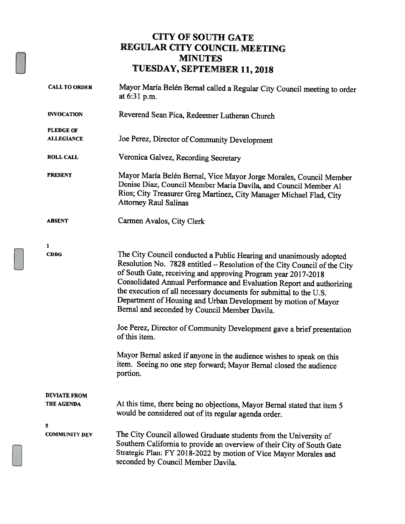### CITY OF SOUTH GATE REGULAR CITY COUNCIL MEETING MINUTES TUESDAY, SEPTEMBER 11, 2018

| <b>CALL TO ORDER</b>                  | Mayor María Belén Bernal called a Regular City Council meeting to order<br>at 6:31 p.m.                                                                                                                                                                                                                                                                                                                                                                                             |
|---------------------------------------|-------------------------------------------------------------------------------------------------------------------------------------------------------------------------------------------------------------------------------------------------------------------------------------------------------------------------------------------------------------------------------------------------------------------------------------------------------------------------------------|
| <b>INVOCATION</b>                     | Reverend Sean Pica, Redeemer Lutheran Church                                                                                                                                                                                                                                                                                                                                                                                                                                        |
| <b>PLEDGE OF</b><br><b>ALLEGIANCE</b> | Joe Perez, Director of Community Development                                                                                                                                                                                                                                                                                                                                                                                                                                        |
| <b>ROLL CALL</b>                      | Veronica Galvez, Recording Secretary                                                                                                                                                                                                                                                                                                                                                                                                                                                |
| <b>PRESENT</b>                        | Mayor María Belén Bernal, Vice Mayor Jorge Morales, Council Member<br>Denise Diaz, Council Member Maria Davila, and Council Member Al<br>Rios; City Treasurer Greg Martinez, City Manager Michael Flad, City<br><b>Attorney Raul Salinas</b>                                                                                                                                                                                                                                        |
| <b>ABSENT</b>                         | Carmen Avalos, City Clerk                                                                                                                                                                                                                                                                                                                                                                                                                                                           |
| 1                                     |                                                                                                                                                                                                                                                                                                                                                                                                                                                                                     |
| <b>CDBG</b>                           | The City Council conducted a Public Hearing and unanimously adopted<br>Resolution No. 7828 entitled - Resolution of the City Council of the City<br>of South Gate, receiving and approving Program year 2017-2018<br>Consolidated Annual Performance and Evaluation Report and authorizing<br>the execution of all necessary documents for submittal to the U.S.<br>Department of Housing and Urban Development by motion of Mayor<br>Bernal and seconded by Council Member Davila. |
|                                       | Joe Perez, Director of Community Development gave a brief presentation<br>of this item.                                                                                                                                                                                                                                                                                                                                                                                             |
|                                       | Mayor Bernal asked if anyone in the audience wishes to speak on this<br>item. Seeing no one step forward; Mayor Bernal closed the audience<br>portion.                                                                                                                                                                                                                                                                                                                              |
| <b>DEVIATE FROM</b><br>THE AGENDA     | At this time, there being no objections, Mayor Bernal stated that item 5<br>would be considered out of its regular agenda order.                                                                                                                                                                                                                                                                                                                                                    |
| 5<br><b>COMMUNITY DEV</b>             | The City Council allowed Graduate students from the University of<br>Southern California to provide an overview of their City of South Gate<br>Strategic Plan: FY 2018-2022 by motion of Vice Mayor Morales and<br>seconded by Council Member Davila.                                                                                                                                                                                                                               |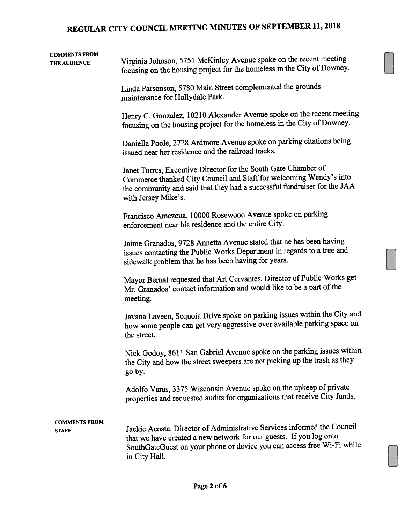# COMMENTS FROM

THE AUDIENCE Virginia Johnson, 5751 McKinley Avenue spoke on the recent meeting focusing on the housing project for the homeless in the City of Downey.

> Linda Parsonson, <sup>5780</sup> Main Street complemented the grounds maintenance for Hollydale Park.

Henry C. Gonzalez, <sup>10210</sup> Alexander Avenue spoke on the recent meeting focusing on the housing project for the homeless in the City of Downey.

Daniella Poole, <sup>2728</sup> Ardmore Avenue spoke on parking citations being issued near her residence and the railroad tracks.

Janet Torres, Executive Director for the South Gate Chamber of Commerce thanked City Council and Stafffor welcoming Wendy's into the community and said that they had <sup>a</sup> successful fundraiser for the JAA with Jersey Mike's.

Francisco Amezcua, <sup>10000</sup> Rosewood Avenue spoke on parking enforcement near his residence and the entire City.

Jaime Granados, <sup>9728</sup> Annetta Avenue stated that he has been having issues contacting the Public Works Department in regards to <sup>a</sup> tree and sidewalk problem that he has been having for years.

Mayor Bemal requested that Art Cervantes, Director of Public Works ge<sup>t</sup> Mr. Granados' contact information and would like to be <sup>a</sup> par<sup>t</sup> of the meeting.

Javana Laveen, Sequoia Drive spoke on parking issues within the City and how some people can ge<sup>t</sup> very aggressive over available parking space on the street.

Nick Godoy, <sup>8611</sup> San Gabriel Avenue spoke on the parking issues within the City and how the street sweepers are not <sup>p</sup>icking up the trash as they go by.

Adolfo Varas, <sup>3375</sup> Wisconsin Avenue spoke on the upkeep of private properties and requested audits for organizations that receive City funds.

## COMMENTS FROM

STAFF Jackie Acosta, Director of Administrative Services informed the Council that we have created <sup>a</sup> new network for our guests. If you log onto SouthGateGuest on your <sup>p</sup>hone or device you can access free Wi-Fi while in City Hall.

[]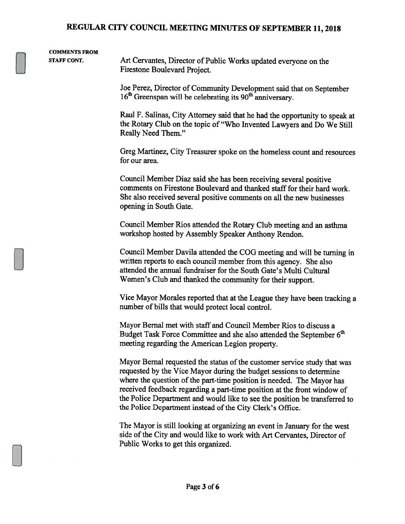### COMMENTS FROM

STAFF CONT. Art Cervantes, Director of Public Works updated everyone on the Firestone Boulevard Project.

Joe Perez, Director of Community Development said that on September 16<sup>th</sup> Greenspan will be celebrating its 90<sup>th</sup> anniversary.

Raul F. Salinas, City Attorney said that he had the opportunity to speak at the Rotary Club on the topic of "Who Invented Lawyers and Do We Still Really Need Them."

Greg Martinez, City Treasurer spoke on the homeless count and resources for our area.

Council Member Diaz said she has been receiving several positive comments on Firestone Boulevard and thanked staff for their hard work. She also received several positive comments on all the new businesses opening in South Gate.

Council Member Rios attended the Rotary Club meeting and an asthma workshop hosted by Assembly Speaker Anthony Rendon.

Council Member Davila attended the COG meeting and will be turning in written reports to each council member from this agency. She also attended the annual fundraiser for the South Gate's Multi Cultural Women's Club and thanked the community for their support.

Vice Mayor Morales reported that at the League they have been tracking <sup>a</sup> number of bills that would protect local control.

Mayor Bernal met with staff and Council Member Rios to discuss <sup>a</sup> Budget Task Force Committee and she also attended the September 6<sup>th</sup> meeting regarding the American Legion property.

Mayor Bernal requested the status of the customer service study that was requested by the Vice Mayor during the budget sessions to determine where the question of the part-time position is needed. The Mayor has received feedback regarding <sup>a</sup> part-time position at the front window of the Police Department and would like to see the position be transferred to the Police Department instead of the City Clerk's Office.

The Mayor is still looking at organizing an event in January for the west side of the City and would like to work with Art Cervantes, Director of Public Works to get this organized.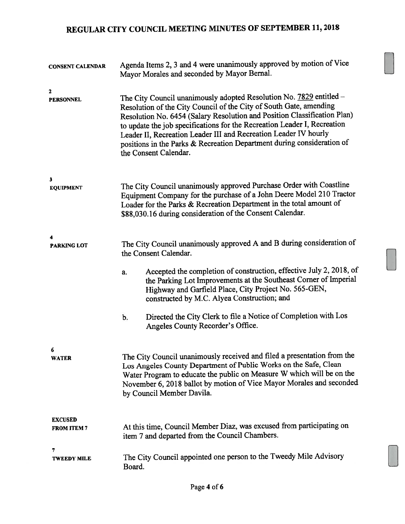| <b>CONSENT CALENDAR</b>              | Agenda Items 2, 3 and 4 were unanimously approved by motion of Vice<br>Mayor Morales and seconded by Mayor Bernal.                                                                                                                                                                                                                                                                                                                                                       |
|--------------------------------------|--------------------------------------------------------------------------------------------------------------------------------------------------------------------------------------------------------------------------------------------------------------------------------------------------------------------------------------------------------------------------------------------------------------------------------------------------------------------------|
| 2<br><b>PERSONNEL</b>                | The City Council unanimously adopted Resolution No. 7829 entitled -<br>Resolution of the City Council of the City of South Gate, amending<br>Resolution No. 6454 (Salary Resolution and Position Classification Plan)<br>to update the job specifications for the Recreation Leader I, Recreation<br>Leader II, Recreation Leader III and Recreation Leader IV hourly<br>positions in the Parks & Recreation Department during consideration of<br>the Consent Calendar. |
| $\overline{\mathbf{3}}$              |                                                                                                                                                                                                                                                                                                                                                                                                                                                                          |
| <b>EQUIPMENT</b>                     | The City Council unanimously approved Purchase Order with Coastline<br>Equipment Company for the purchase of a John Deere Model 210 Tractor<br>Loader for the Parks & Recreation Department in the total amount of<br>\$88,030.16 during consideration of the Consent Calendar.                                                                                                                                                                                          |
| 4<br><b>PARKING LOT</b>              | The City Council unanimously approved A and B during consideration of<br>the Consent Calendar.                                                                                                                                                                                                                                                                                                                                                                           |
|                                      | Accepted the completion of construction, effective July 2, 2018, of<br>a.<br>the Parking Lot Improvements at the Southeast Corner of Imperial<br>Highway and Garfield Place, City Project No. 565-GEN,<br>constructed by M.C. Alyea Construction; and                                                                                                                                                                                                                    |
|                                      | Directed the City Clerk to file a Notice of Completion with Los<br>b.<br>Angeles County Recorder's Office.                                                                                                                                                                                                                                                                                                                                                               |
|                                      |                                                                                                                                                                                                                                                                                                                                                                                                                                                                          |
| 6<br><b>WATER</b>                    | The City Council unanimously received and filed a presentation from the<br>Los Angeles County Department of Public Works on the Safe, Clean<br>Water Program to educate the public on Measure W which will be on the<br>November 6, 2018 ballot by motion of Vice Mayor Morales and seconded<br>by Council Member Davila.                                                                                                                                                |
| <b>EXCUSED</b><br><b>FROM ITEM 7</b> | At this time, Council Member Diaz, was excused from participating on<br>item 7 and departed from the Council Chambers.                                                                                                                                                                                                                                                                                                                                                   |
| 7<br><b>TWEEDY MILE</b>              | The City Council appointed one person to the Tweedy Mile Advisory<br>Board.                                                                                                                                                                                                                                                                                                                                                                                              |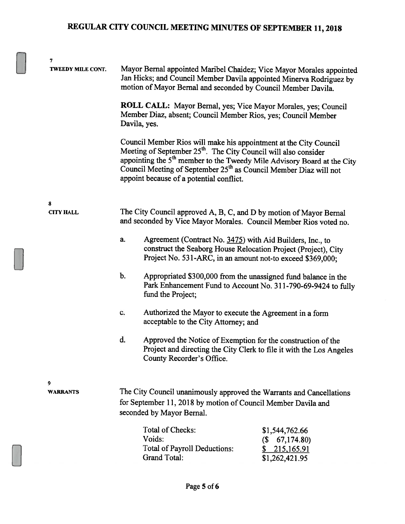| 7<br><b>TWEEDY MILE CONT.</b> | Mayor Bernal appointed Maribel Chaidez; Vice Mayor Morales appointed<br>Jan Hicks; and Council Member Davila appointed Minerva Rodriguez by<br>motion of Mayor Bernal and seconded by Council Member Davila.                                                                                                                                                         |
|-------------------------------|----------------------------------------------------------------------------------------------------------------------------------------------------------------------------------------------------------------------------------------------------------------------------------------------------------------------------------------------------------------------|
|                               | ROLL CALL: Mayor Bernal, yes; Vice Mayor Morales, yes; Council<br>Member Diaz, absent; Council Member Rios, yes; Council Member<br>Davila, yes.                                                                                                                                                                                                                      |
|                               | Council Member Rios will make his appointment at the City Council<br>Meeting of September 25 <sup>th</sup> . The City Council will also consider<br>appointing the 5 <sup>th</sup> member to the Tweedy Mile Advisory Board at the City<br>Council Meeting of September 25 <sup>th</sup> as Council Member Diaz will not<br>appoint because of a potential conflict. |
| 8                             |                                                                                                                                                                                                                                                                                                                                                                      |
| <b>CITY HALL</b>              | The City Council approved A, B, C, and D by motion of Mayor Bernal<br>and seconded by Vice Mayor Morales. Council Member Rios voted no.                                                                                                                                                                                                                              |
|                               | Agreement (Contract No. 3475) with Aid Builders, Inc., to<br>a.<br>construct the Seaborg House Relocation Project (Project), City<br>Project No. 531-ARC, in an amount not-to exceed \$369,000;                                                                                                                                                                      |
|                               | $b$ .<br>Appropriated \$300,000 from the unassigned fund balance in the<br>Park Enhancement Fund to Account No. 311-790-69-9424 to fully<br>fund the Project;                                                                                                                                                                                                        |
|                               | Authorized the Mayor to execute the Agreement in a form<br>c.<br>acceptable to the City Attorney; and                                                                                                                                                                                                                                                                |
|                               | d.<br>Approved the Notice of Exemption for the construction of the<br>Project and directing the City Clerk to file it with the Los Angeles<br>County Recorder's Office.                                                                                                                                                                                              |
| 9<br><b>WARRANTS</b>          | The City Council unanimously approved the Warrants and Cancellations<br>for September 11, 2018 by motion of Council Member Davila and                                                                                                                                                                                                                                |
|                               | seconded by Mayor Bernal.                                                                                                                                                                                                                                                                                                                                            |
|                               | Total of Checks:<br>\$1,544,762.66<br>Voids:<br>67,174.80)<br>(S<br>Total of Payroll Deductions:<br>215,165.91<br><b>Grand Total:</b><br>\$1,262,421.95                                                                                                                                                                                                              |